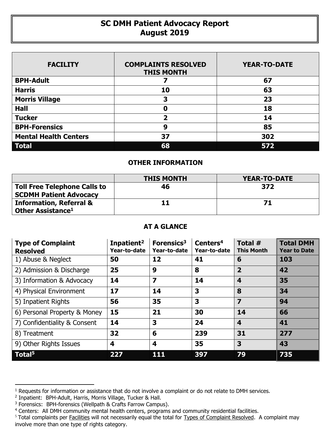## **SC DMH Patient Advocacy Report August 2019**

| <b>FACILITY</b>              | <b>COMPLAINTS RESOLVED</b><br><b>THIS MONTH</b> | <b>YEAR-TO-DATE</b> |
|------------------------------|-------------------------------------------------|---------------------|
| <b>BPH-Adult</b>             |                                                 | 67                  |
| <b>Harris</b>                | 10                                              | 63                  |
| <b>Morris Village</b>        | 3                                               | 23                  |
| <b>Hall</b>                  | Ω                                               | 18                  |
| <b>Tucker</b>                | 2                                               | 14                  |
| <b>BPH-Forensics</b>         | 9                                               | 85                  |
| <b>Mental Health Centers</b> | 37                                              | 302                 |
| <b>Total</b>                 | 68                                              | 572                 |

## **OTHER INFORMATION**

|                                                                      | <b>THIS MONTH</b> | YEAR-TO-DATE |
|----------------------------------------------------------------------|-------------------|--------------|
| <b>Toll Free Telephone Calls to</b><br><b>SCDMH Patient Advocacy</b> | 46                | 372          |
| <b>Information, Referral &amp;</b><br>Other Assistance <sup>1</sup>  |                   | 71           |

## **AT A GLANCE**

| <b>Type of Complaint</b><br><b>Resolved</b> | Inpatient <sup>2</sup><br>Year-to-date | Forensics <sup>3</sup><br>Year-to-date | Centers <sup>4</sup><br>Year-to-date | Total #<br><b>This Month</b> | <b>Total DMH</b><br><b>Year to Date</b> |
|---------------------------------------------|----------------------------------------|----------------------------------------|--------------------------------------|------------------------------|-----------------------------------------|
| 1) Abuse & Neglect                          | 50                                     | 12                                     | 41                                   | 6                            | 103                                     |
| 2) Admission & Discharge                    | 25                                     | 9                                      | 8                                    | $\overline{2}$               | 42                                      |
| 3) Information & Advocacy                   | 14                                     | $\overline{\mathbf{z}}$                | 14                                   | 4                            | 35                                      |
| 4) Physical Environment                     | 17                                     | 14                                     | 3                                    | 8                            | 34                                      |
| 5) Inpatient Rights                         | 56                                     | 35                                     | 3                                    | 7                            | 94                                      |
| 6) Personal Property & Money                | 15                                     | 21                                     | 30                                   | 14                           | 66                                      |
| 7) Confidentiality & Consent                | 14                                     | 3                                      | 24                                   | $\overline{\mathbf{4}}$      | 41                                      |
| 8) Treatment                                | 32                                     | 6                                      | 239                                  | 31                           | 277                                     |
| 9) Other Rights Issues                      | 4                                      | 4                                      | 35                                   | 3                            | 43                                      |
| Total <sup>5</sup>                          | 227                                    | 111                                    | 397                                  | 79                           | 735                                     |

 $\overline{a}$ 

<sup>&</sup>lt;sup>1</sup> Requests for information or assistance that do not involve a complaint or do not relate to DMH services.

<sup>2</sup> Inpatient: BPH-Adult, Harris, Morris Village, Tucker & Hall.

<sup>&</sup>lt;sup>3</sup> Forensics: BPH-forensics (Wellpath & Crafts Farrow Campus).

<sup>&</sup>lt;sup>4</sup> Centers: All DMH community mental health centers, programs and community residential facilities.

<sup>&</sup>lt;sup>5</sup> Total complaints per Facilities will not necessarily equal the total for Types of Complaint Resolved. A complaint may involve more than one type of rights category.